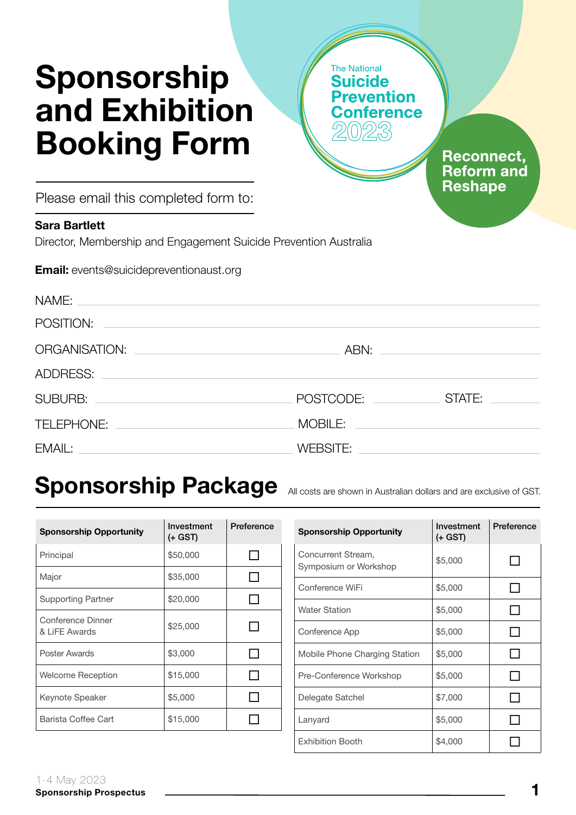# Sponsorship and Exhibition Booking Form

onference **Reconnect,** 

> **Reform and Reshape**

**The National Suicide** 

revention

Please email this completed form to:

#### Sara Bartlett

Director, Membership and Engagement Suicide Prevention Australia

Email: events@suicidepreventionaust.org

| NAME:<br>and the control of the control of the control of the control of the control of the control of the control of the              |           |                                                                                                                      |
|----------------------------------------------------------------------------------------------------------------------------------------|-----------|----------------------------------------------------------------------------------------------------------------------|
| POSITION:                                                                                                                              |           |                                                                                                                      |
| ORGANISATION:<br><u> 1989 - Johann Harry Harry Harry Harry Harry Harry Harry Harry Harry Harry Harry Harry Harry Harry Harry Harry</u> |           |                                                                                                                      |
| ADDRESS:<br><u> 1989 - Johann John Stone, markin sanadi shine a shekara ta 1989 - An tsara tsara tsara tsara tsara tsara tsa</u>       |           |                                                                                                                      |
| SUBURB: <u>________________________________</u>                                                                                        | POSTCODE: | STATE:                                                                                                               |
| TELEPHONE:                                                                                                                             | MOBILE:   | <u> 1980 - Andrea State Barbara, amerikan personal di sebagai personal di sebagai personal di sebagai personal d</u> |
| EMAIL:<br><u> 1989 - Johann Stein, mars an deus Amerikaansk kommunister (</u>                                                          | WEBSITE:  |                                                                                                                      |

## Sponsorship Package All costs are shown in Australian dollars and are exclusive of GST.

| <b>Sponsorship Opportunity</b>     | Investment<br>(+ GST) | Preference |
|------------------------------------|-----------------------|------------|
| Principal                          | \$50,000              |            |
| Major                              | \$35,000              |            |
| <b>Supporting Partner</b>          | \$20,000              |            |
| Conference Dinner<br>& LiFE Awards | \$25,000              |            |
| Poster Awards                      | \$3,000               |            |
| Welcome Reception                  | \$15,000              |            |
| Keynote Speaker                    | \$5,000               |            |
| Barista Coffee Cart                | \$15,000              |            |

| <b>Sponsorship Opportunity</b>              | Investment<br>(+ GST) | Preference |
|---------------------------------------------|-----------------------|------------|
| Concurrent Stream,<br>Symposium or Workshop | \$5,000               |            |
| Conference WiFi                             | \$5,000               |            |
| <b>Water Station</b>                        | \$5,000               |            |
| Conference App                              | \$5,000               |            |
| Mobile Phone Charging Station               | \$5,000               |            |
| Pre-Conference Workshop                     | \$5,000               |            |
| Delegate Satchel                            | \$7,000               |            |
| Lanyard                                     | \$5,000               |            |
| <b>Exhibition Booth</b>                     | \$4,000               |            |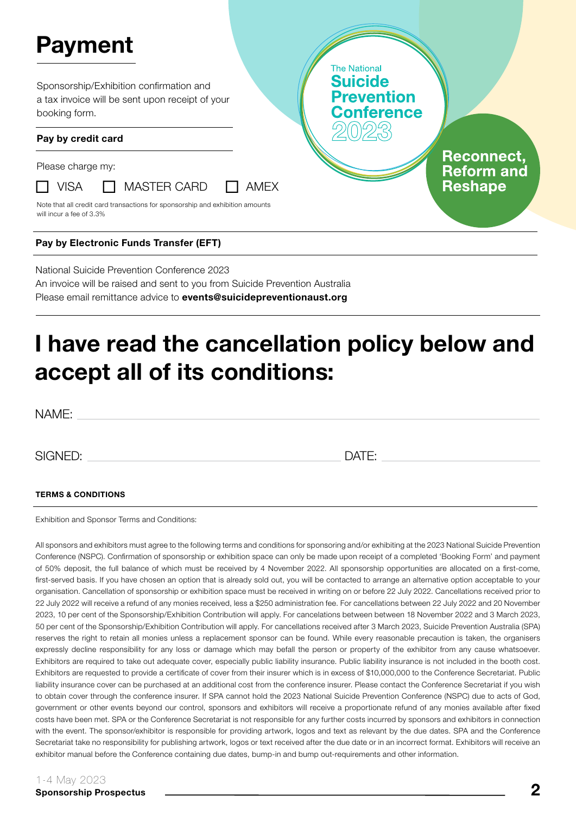# Payment

Sponsorship/Exhibition confirmation and a tax invoice will be sent upon receipt of your booking form.

#### Pay by credit card

Please charge my:



 $\Box$  VISA  $\Box$  MASTER CARD  $\Box$  AMEX

Note that all credit card transactions for sponsorship and exhibition amounts will incur a fee of 3.3%

#### Pay by Electronic Funds Transfer (EFT)

National Suicide Prevention Conference 2023 An invoice will be raised and sent to you from Suicide Prevention Australia Please email remittance advice to **events@suicidepreventionaust.org** 

### I have read the cancellation policy below and accept all of its conditions:

NAME:

SIGNED: DATE:

**The National Suicide** 

**Prevention** onference

> **Reconnect. Reform and Reshape**

#### TERMS & CONDITIONS

Exhibition and Sponsor Terms and Conditions:

All sponsors and exhibitors must agree to the following terms and conditions for sponsoring and/or exhibiting at the 2023 National Suicide Prevention Conference (NSPC). Confirmation of sponsorship or exhibition space can only be made upon receipt of a completed 'Booking Form' and payment of 50% deposit, the full balance of which must be received by 4 November 2022. All sponsorship opportunities are allocated on a first-come, first-served basis. If you have chosen an option that is already sold out, you will be contacted to arrange an alternative option acceptable to your organisation. Cancellation of sponsorship or exhibition space must be received in writing on or before 22 July 2022. Cancellations received prior to 22 July 2022 will receive a refund of any monies received, less a \$250 administration fee. For cancellations between 22 July 2022 and 20 November 2023, 10 per cent of the Sponsorship/Exhibition Contribution will apply. For cancelations between between 18 November 2022 and 3 March 2023, 50 per cent of the Sponsorship/Exhibition Contribution will apply. For cancellations received after 3 March 2023, Suicide Prevention Australia (SPA) reserves the right to retain all monies unless a replacement sponsor can be found. While every reasonable precaution is taken, the organisers expressly decline responsibility for any loss or damage which may befall the person or property of the exhibitor from any cause whatsoever. Exhibitors are required to take out adequate cover, especially public liability insurance. Public liability insurance is not included in the booth cost. Exhibitors are requested to provide a certificate of cover from their insurer which is in excess of \$10,000,000 to the Conference Secretariat. Public liability insurance cover can be purchased at an additional cost from the conference insurer. Please contact the Conference Secretariat if you wish to obtain cover through the conference insurer. If SPA cannot hold the 2023 National Suicide Prevention Conference (NSPC) due to acts of God, government or other events beyond our control, sponsors and exhibitors will receive a proportionate refund of any monies available after fixed costs have been met. SPA or the Conference Secretariat is not responsible for any further costs incurred by sponsors and exhibitors in connection with the event. The sponsor/exhibitor is responsible for providing artwork, logos and text as relevant by the due dates. SPA and the Conference Secretariat take no responsibility for publishing artwork, logos or text received after the due date or in an incorrect format. Exhibitors will receive an exhibitor manual before the Conference containing due dates, bump-in and bump out-requirements and other information.